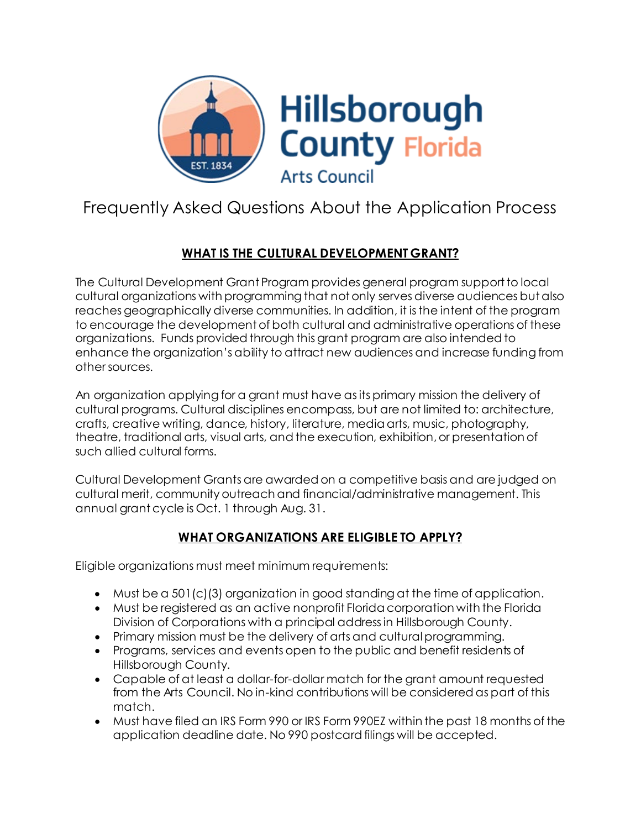

# Frequently Asked Questions About the Application Process

# **WHAT IS THE CULTURAL DEVELOPMENT GRANT?**

The Cultural Development Grant Program provides general program support to local cultural organizations with programming that not only serves diverse audiences but also reaches geographically diverse communities. In addition, it is the intent of the program to encourage the development of both cultural and administrative operations of these organizations. Funds provided through this grant program are also intended to enhance the organization's ability to attract new audiences and increase funding from other sources.

An organization applying for a grant must have as its primary mission the delivery of cultural programs. Cultural disciplines encompass, but are not limited to: architecture, crafts, creative writing, dance, history, literature, media arts, music, photography, theatre, traditional arts, visual arts, and the execution, exhibition, or presentation of such allied cultural forms.

Cultural Development Grants are awarded on a competitive basis and are judged on cultural merit, community outreach and financial/administrative management. This annual grant cycle is Oct. 1 through Aug. 31.

# **WHAT ORGANIZATIONS ARE ELIGIBLE TO APPLY?**

Eligible organizations must meet minimum requirements:

- Must be a 501(c)(3) organization in good standing at the time of application.
- Must be registered as an active nonprofit Florida corporation with the Florida Division of Corporations with a principal address in Hillsborough County.
- Primary mission must be the delivery of arts and cultural programming.
- Programs, services and events open to the public and benefit residents of Hillsborough County.
- Capable of at least a dollar-for-dollar match for the grant amount requested from the Arts Council. No in-kind contributions will be considered as part of this match.
- Must have filed an IRS Form 990 or IRS Form 990EZ within the past 18 months of the application deadline date. No 990 postcard filings will be accepted.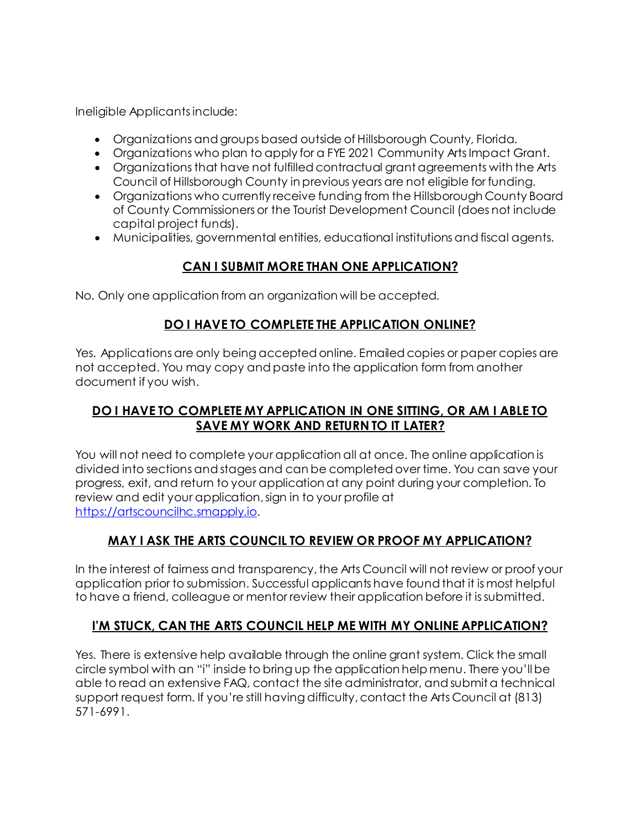Ineligible Applicants include:

- Organizations and groups based outside of Hillsborough County, Florida.
- Organizations who plan to apply for a FYE 2021 Community Arts Impact Grant.
- Organizations that have not fulfilled contractual grant agreements with the Arts Council of Hillsborough County in previous years are not eligible for funding.
- Organizations who currently receive funding from the Hillsborough County Board of County Commissioners or the Tourist Development Council (does not include capital project funds).
- Municipalities, governmental entities, educational institutions and fiscal agents.

## **CAN I SUBMIT MORE THAN ONE APPLICATION?**

No. Only one application from an organization will be accepted.

### **DO I HAVE TO COMPLETE THE APPLICATION ONLINE?**

Yes. Applications are only being accepted online. Emailed copies or paper copies are not accepted. You may copy and paste into the application form from another document if you wish.

### **DO I HAVE TO COMPLETE MY APPLICATION IN ONE SITTING, OR AM I ABLE TO SAVE MY WORK AND RETURN TO IT LATER?**

You will not need to complete your application all at once. The online application is divided into sections and stages and can be completed over time. You can save your progress, exit, and return to your application at any point during your completion. To review and edit your application, sign in to your profile at [https://artscouncilhc.smapply.io](https://artscouncilhc.smapply.io/).

## **MAY I ASK THE ARTS COUNCIL TO REVIEW OR PROOF MY APPLICATION?**

In the interest of fairness and transparency, the Arts Council will not review or proof your application prior to submission. Successful applicants have found that it is most helpful to have a friend, colleague or mentor review their application before it is submitted.

# **I'M STUCK, CAN THE ARTS COUNCIL HELP ME WITH MY ONLINE APPLICATION?**

Yes. There is extensive help available through the online grant system. Click the small circle symbol with an "i" inside to bring up the application help menu. There you'll be able to read an extensive FAQ, contact the site administrator, and submit a technical support request form. If you're still having difficulty,contact the Arts Council at (813) 571-6991.